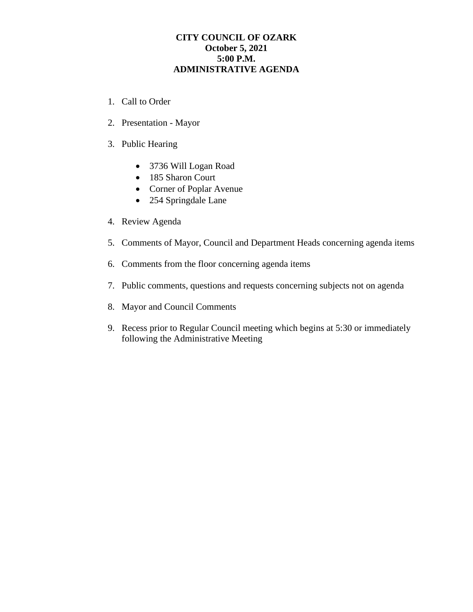## **CITY COUNCIL OF OZARK October 5, 2021 5:00 P.M. ADMINISTRATIVE AGENDA**

- 1. Call to Order
- 2. Presentation Mayor
- 3. Public Hearing
	- 3736 Will Logan Road
	- 185 Sharon Court
	- Corner of Poplar Avenue
	- 254 Springdale Lane
- 4. Review Agenda
- 5. Comments of Mayor, Council and Department Heads concerning agenda items
- 6. Comments from the floor concerning agenda items
- 7. Public comments, questions and requests concerning subjects not on agenda
- 8. Mayor and Council Comments
- 9. Recess prior to Regular Council meeting which begins at 5:30 or immediately following the Administrative Meeting